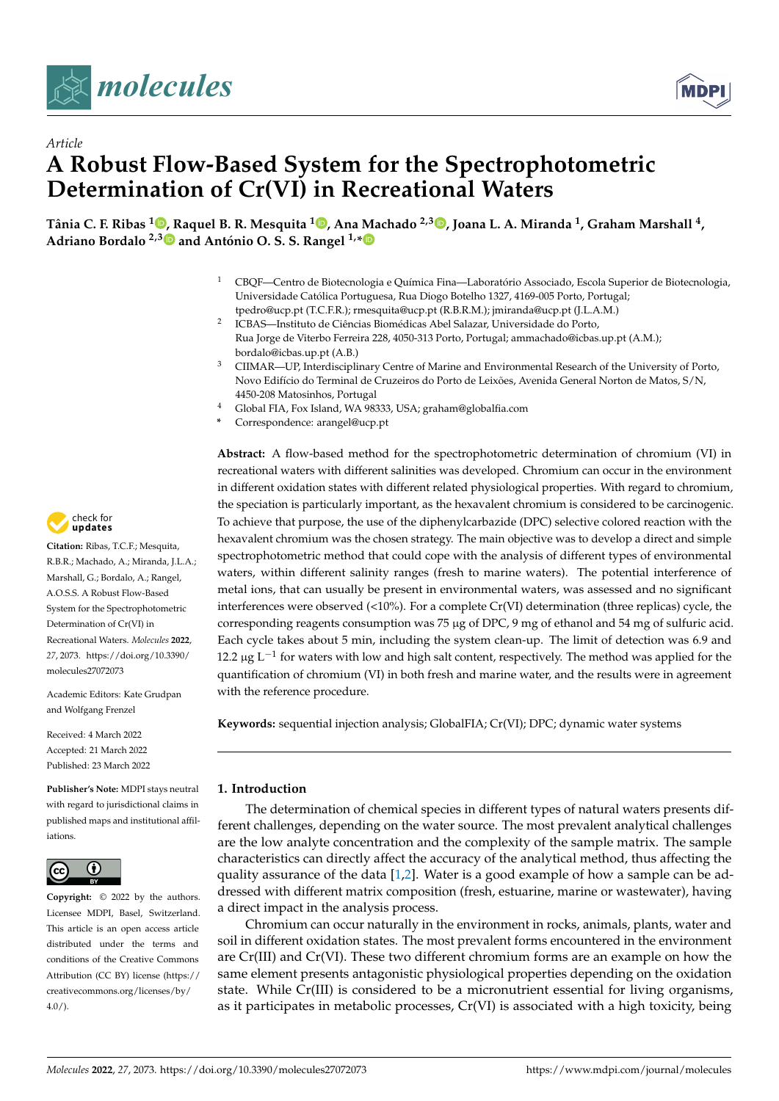



## *Article* **A Robust Flow-Based System for the Spectrophotometric Determination of Cr(VI) in Recreational Waters**

**Tânia C. F. Ribas <sup>1</sup> [,](https://orcid.org/0000-0001-9657-5869) Raquel B. R. Mesquita <sup>1</sup> [,](https://orcid.org/0000-0001-7745-1860) Ana Machado 2,3 [,](https://orcid.org/0000-0003-0732-1571) Joana L. A. Miranda <sup>1</sup> , Graham Marshall <sup>4</sup> , Adriano Bordalo 2,[3](https://orcid.org/0000-0002-9637-6541) and António O. S. S. Rangel 1,[\\*](https://orcid.org/0000-0002-6486-8947)**

- <sup>1</sup> CBQF—Centro de Biotecnologia e Química Fina—Laboratório Associado, Escola Superior de Biotecnologia, Universidade Católica Portuguesa, Rua Diogo Botelho 1327, 4169-005 Porto, Portugal; tpedro@ucp.pt (T.C.F.R.); rmesquita@ucp.pt (R.B.R.M.); jmiranda@ucp.pt (J.L.A.M.)
- 2 ICBAS—Instituto de Ciências Biomédicas Abel Salazar, Universidade do Porto, Rua Jorge de Viterbo Ferreira 228, 4050-313 Porto, Portugal; ammachado@icbas.up.pt (A.M.); bordalo@icbas.up.pt (A.B.)
- <sup>3</sup> CIIMAR—UP, Interdisciplinary Centre of Marine and Environmental Research of the University of Porto, Novo Edifício do Terminal de Cruzeiros do Porto de Leixões, Avenida General Norton de Matos, S/N, 4450-208 Matosinhos, Portugal
- <sup>4</sup> Global FIA, Fox Island, WA 98333, USA; graham@globalfia.com
- **\*** Correspondence: arangel@ucp.pt

**Abstract:** A flow-based method for the spectrophotometric determination of chromium (VI) in recreational waters with different salinities was developed. Chromium can occur in the environment in different oxidation states with different related physiological properties. With regard to chromium, the speciation is particularly important, as the hexavalent chromium is considered to be carcinogenic. To achieve that purpose, the use of the diphenylcarbazide (DPC) selective colored reaction with the hexavalent chromium was the chosen strategy. The main objective was to develop a direct and simple spectrophotometric method that could cope with the analysis of different types of environmental waters, within different salinity ranges (fresh to marine waters). The potential interference of metal ions, that can usually be present in environmental waters, was assessed and no significant interferences were observed (<10%). For a complete Cr(VI) determination (three replicas) cycle, the corresponding reagents consumption was 75 µg of DPC, 9 mg of ethanol and 54 mg of sulfuric acid. Each cycle takes about 5 min, including the system clean-up. The limit of detection was 6.9 and 12.2 μg L<sup>-1</sup> for waters with low and high salt content, respectively. The method was applied for the quantification of chromium (VI) in both fresh and marine water, and the results were in agreement with the reference procedure.

**Keywords:** sequential injection analysis; GlobalFIA; Cr(VI); DPC; dynamic water systems

#### **1. Introduction**

The determination of chemical species in different types of natural waters presents different challenges, depending on the water source. The most prevalent analytical challenges are the low analyte concentration and the complexity of the sample matrix. The sample characteristics can directly affect the accuracy of the analytical method, thus affecting the quality assurance of the data [\[1](#page-8-0)[,2\]](#page-8-1). Water is a good example of how a sample can be addressed with different matrix composition (fresh, estuarine, marine or wastewater), having a direct impact in the analysis process.

Chromium can occur naturally in the environment in rocks, animals, plants, water and soil in different oxidation states. The most prevalent forms encountered in the environment are Cr(III) and Cr(VI). These two different chromium forms are an example on how the same element presents antagonistic physiological properties depending on the oxidation state. While Cr(III) is considered to be a micronutrient essential for living organisms, as it participates in metabolic processes, Cr(VI) is associated with a high toxicity, being



**Citation:** Ribas, T.C.F.; Mesquita, R.B.R.; Machado, A.; Miranda, J.L.A.; Marshall, G.; Bordalo, A.; Rangel, A.O.S.S. A Robust Flow-Based System for the Spectrophotometric Determination of Cr(VI) in Recreational Waters. *Molecules* **2022**, *27*, 2073. [https://doi.org/10.3390/](https://doi.org/10.3390/molecules27072073) [molecules27072073](https://doi.org/10.3390/molecules27072073)

Academic Editors: Kate Grudpan and Wolfgang Frenzel

Received: 4 March 2022 Accepted: 21 March 2022 Published: 23 March 2022

**Publisher's Note:** MDPI stays neutral with regard to jurisdictional claims in published maps and institutional affiliations.



**Copyright:** © 2022 by the authors. Licensee MDPI, Basel, Switzerland. This article is an open access article distributed under the terms and conditions of the Creative Commons Attribution (CC BY) license [\(https://](https://creativecommons.org/licenses/by/4.0/) [creativecommons.org/licenses/by/](https://creativecommons.org/licenses/by/4.0/)  $4.0/$ ).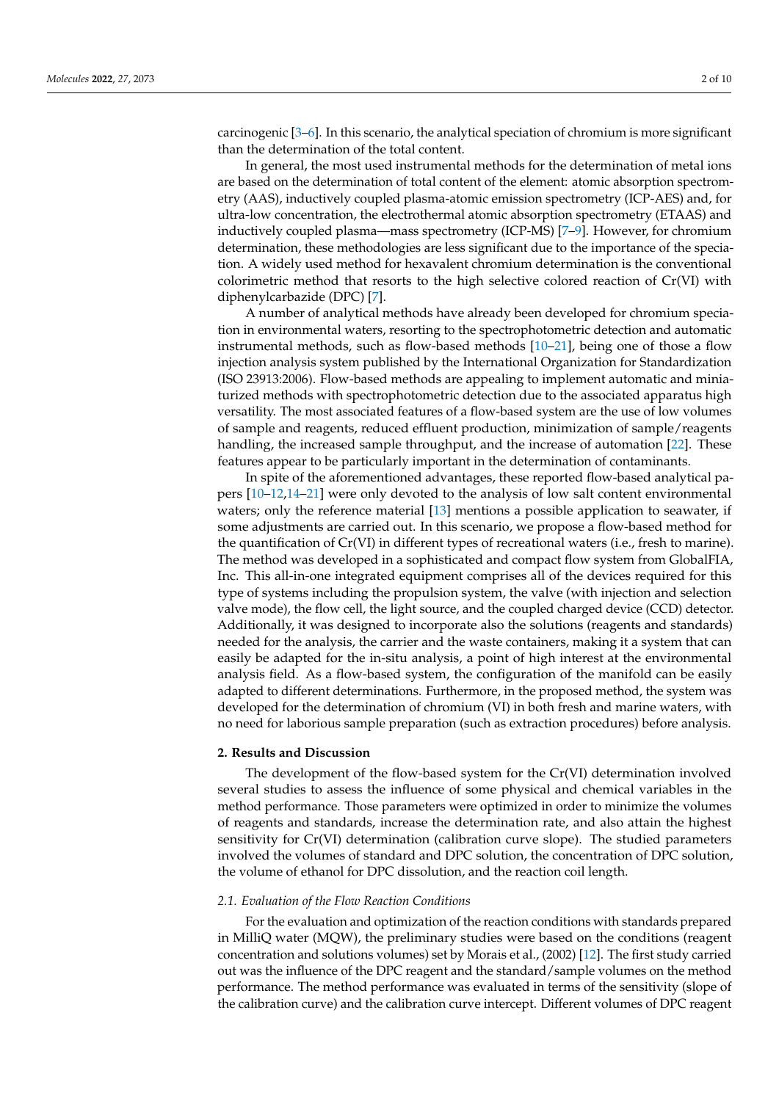carcinogenic [\[3–](#page-8-2)[6\]](#page-8-3). In this scenario, the analytical speciation of chromium is more significant than the determination of the total content.

In general, the most used instrumental methods for the determination of metal ions are based on the determination of total content of the element: atomic absorption spectrometry (AAS), inductively coupled plasma-atomic emission spectrometry (ICP-AES) and, for ultra-low concentration, the electrothermal atomic absorption spectrometry (ETAAS) and inductively coupled plasma—mass spectrometry (ICP-MS) [\[7–](#page-8-4)[9\]](#page-9-0). However, for chromium determination, these methodologies are less significant due to the importance of the speciation. A widely used method for hexavalent chromium determination is the conventional colorimetric method that resorts to the high selective colored reaction of Cr(VI) with diphenylcarbazide (DPC) [\[7\]](#page-8-4).

A number of analytical methods have already been developed for chromium speciation in environmental waters, resorting to the spectrophotometric detection and automatic instrumental methods, such as flow-based methods [\[10–](#page-9-1)[21\]](#page-9-2), being one of those a flow injection analysis system published by the International Organization for Standardization (ISO 23913:2006). Flow-based methods are appealing to implement automatic and miniaturized methods with spectrophotometric detection due to the associated apparatus high versatility. The most associated features of a flow-based system are the use of low volumes of sample and reagents, reduced effluent production, minimization of sample/reagents handling, the increased sample throughput, and the increase of automation [\[22\]](#page-9-3). These features appear to be particularly important in the determination of contaminants.

In spite of the aforementioned advantages, these reported flow-based analytical papers [\[10–](#page-9-1)[12](#page-9-4)[,14](#page-9-5)[–21\]](#page-9-2) were only devoted to the analysis of low salt content environmental waters; only the reference material [\[13\]](#page-9-6) mentions a possible application to seawater, if some adjustments are carried out. In this scenario, we propose a flow-based method for the quantification of Cr(VI) in different types of recreational waters (i.e., fresh to marine). The method was developed in a sophisticated and compact flow system from GlobalFIA, Inc. This all-in-one integrated equipment comprises all of the devices required for this type of systems including the propulsion system, the valve (with injection and selection valve mode), the flow cell, the light source, and the coupled charged device (CCD) detector. Additionally, it was designed to incorporate also the solutions (reagents and standards) needed for the analysis, the carrier and the waste containers, making it a system that can easily be adapted for the in-situ analysis, a point of high interest at the environmental analysis field. As a flow-based system, the configuration of the manifold can be easily adapted to different determinations. Furthermore, in the proposed method, the system was developed for the determination of chromium (VI) in both fresh and marine waters, with no need for laborious sample preparation (such as extraction procedures) before analysis.

#### **2. Results and Discussion**

The development of the flow-based system for the Cr(VI) determination involved several studies to assess the influence of some physical and chemical variables in the method performance. Those parameters were optimized in order to minimize the volumes of reagents and standards, increase the determination rate, and also attain the highest sensitivity for Cr(VI) determination (calibration curve slope). The studied parameters involved the volumes of standard and DPC solution, the concentration of DPC solution, the volume of ethanol for DPC dissolution, and the reaction coil length.

#### *2.1. Evaluation of the Flow Reaction Conditions*

For the evaluation and optimization of the reaction conditions with standards prepared in MilliQ water (MQW), the preliminary studies were based on the conditions (reagent concentration and solutions volumes) set by Morais et al., (2002) [\[12\]](#page-9-4). The first study carried out was the influence of the DPC reagent and the standard/sample volumes on the method performance. The method performance was evaluated in terms of the sensitivity (slope of the calibration curve) and the calibration curve intercept. Different volumes of DPC reagent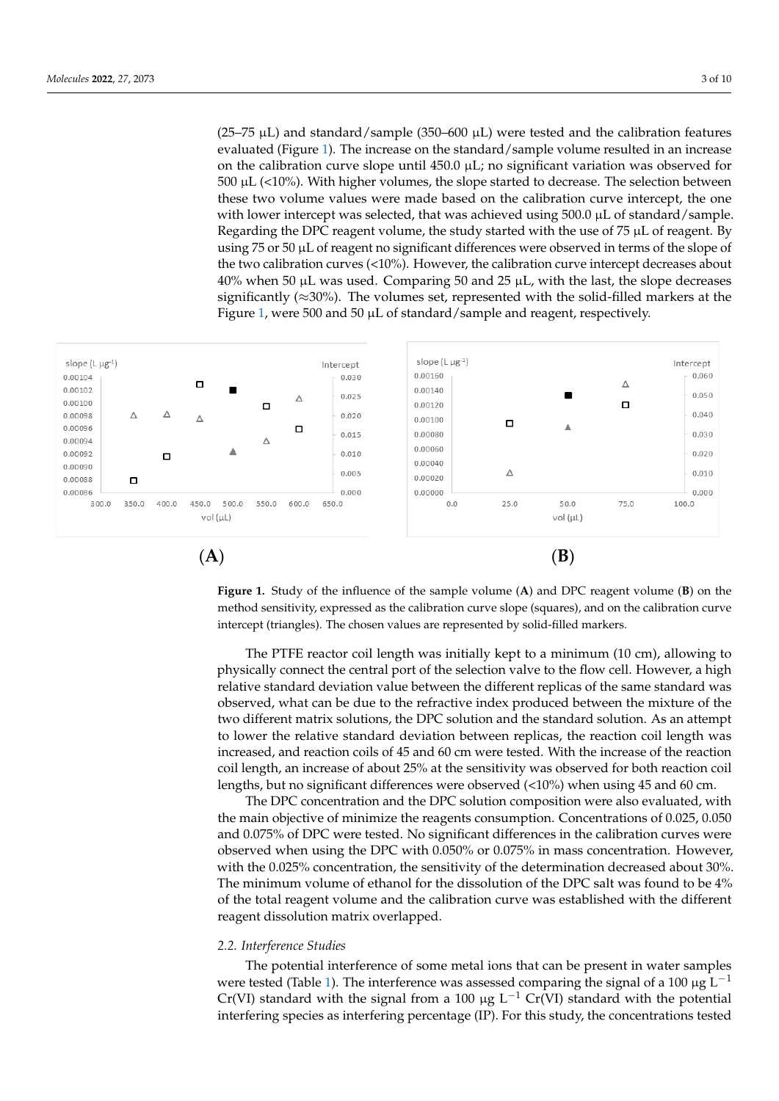(25–75  $\mu$ L) and standard/sample (350–600  $\mu$ L) were tested and the calibration features evaluated (Figure 1). The increase on the standard/sample volume resulted in an increase on the calibration curve slope until  $450.0 \mu L$ ; no significant variation was observed for  $500 \mu L$  ( $40\%$ ). With high are leaves the shape statical to degree a The sale time helpes on  $500 \mu L$  (<10%). With higher volumes, the slope started to decrease. The selection between  $\frac{1}{200}$  the  $\frac{1}{200}$ , what rights volume, the steps surfice to decrease. The selection setwork with lower intercept was selected, that was achieved using  $500.0 \mu$ L of standard/sample. Regarding the DPC reagent volume, the study started with the use of 75 µL of reagent. By<br>using 75 or 50 µL of reagent no significant differences were observed in terms of the clope of using  $75$  or  $50 \mu L$  of reagent no significant differences were observed in terms of the slope of the two calibration curves  $($ <10%). However, the calibration curve intercept decreases about  $40\%$  when 50  $\mu$ L was used. Comparing 50 and 25  $\mu$ L, with the last, the slope decreases significantly ( $\approx$ 30%). The volumes set, represented with the solid-filled markers at the  $\frac{1}{2}$  and  $\frac{1}{2}$  and  $\frac{1}{2}$  and  $\frac{1}{2}$  and  $\frac{1}{2}$  and  $\frac{1}{2}$  and  $\frac{1}{2}$  and reagent, respectively.

<span id="page-2-0"></span>

Figure 1. Study of the influence of the sample volume (A) and DPC reagent volume (B) on the method sensitivity, expressed as the calibration curve slope (squares), and on the calibration curve method sensitivity, expressed as the calibration curve slope (squares), and on the calibration curve intercept (triangles). The chosen values are represented by solid-filled markers. intercept (triangles). The chosen values are represented by solid-filled markers.

physically connect the central port of the selection valve to the flow cell. However, a high the matrix of minimize the minimized between the unteresting produced between the mixture of the observed, what can be due to the refractive index produced between the mixture of the two different matrix solutions, the DPC solution and the standard solution. As an attempt to lower the relative standard deviation between replicas, the reaction coil length was<br>in massed and mastion sails of 45 and 60 am was tasted. With the in masse of the mastion coil length, an increase of about 25% at the sensitivity was observed for both reaction coil lengths, but no significant differences were observed (<10%) when using 45 and 60 cm. The PTFE reactor coil length was initially kept to a minimum (10 cm), allowing to relative standard deviation value between the different replicas of the same standard was increased, and reaction coils of 45 and 60 cm were tested. With the increase of the reaction

The DPC concentration and the DPC solution composition were also evaluated, with the main objective of minimize the reagents consumption. Concentrations of 0.025, 0.050 and 0.075% of DPC were tested. No significant differences in the calibration curves were of the total reagent volume and the calibration curve was established with the different were tested (Table 1). The interference was assessed comparing the signal of a 100 µg L*−*<sup>1</sup> the main objective of minimize the reagents consumption. Concentrations of 0.025, 0.050 observed when using the DPC with 0.050% or 0.075% in mass concentration. However, with the 0.025% concentration, the sensitivity of the determination decreased about 30%. The minimum volume of ethanol for the dissolution of the DPC salt was found to be 4% reagent dissolution matrix overlapped.

### 2.2. Interference Studies

The potential interference of some metal ions that can be present in water samples<br> $\frac{1}{2}$ . The interference of some metal ions that can be present in water samples were tested (Table [1\)](#page-3-0). The interference was assessed comparing the signal of a 100  $\mu$ g L<sup>−1</sup> Cr(VI) standard with the signal from a 100 µg L<sup>-1</sup> Cr(VI) standard with the potential interfering species as interfering percentage (IP). For this study, the concentrations tested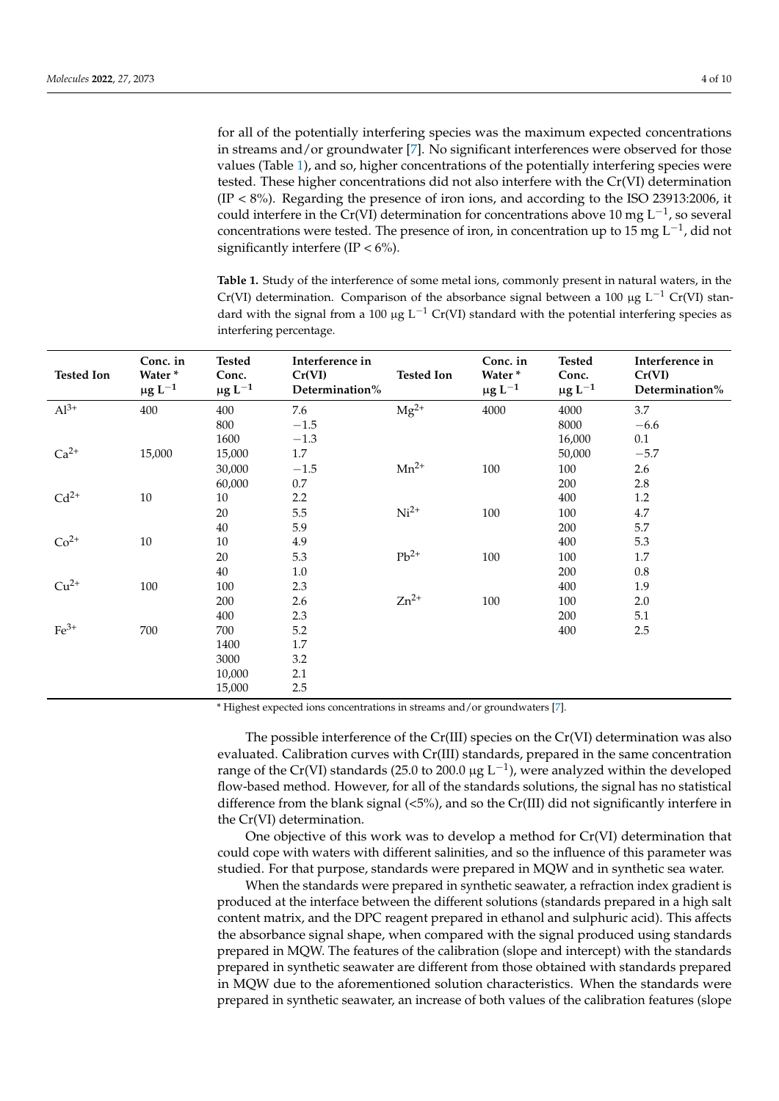for all of the potentially interfering species was the maximum expected concentrations in streams and/or groundwater [\[7\]](#page-8-4). No significant interferences were observed for those values (Table [1\)](#page-3-0), and so, higher concentrations of the potentially interfering species were tested. These higher concentrations did not also interfere with the Cr(VI) determination (IP < 8%). Regarding the presence of iron ions, and according to the ISO 23913:2006, it could interfere in the Cr(VI) determination for concentrations above 10 mg L<sup>-1</sup>, so several

<span id="page-3-0"></span>concentrations were tested. The presence of iron, in concentration up to 15 mg L<sup>-1</sup>, did not significantly interfere (IP  $< 6\%$ ). **Table 1.** Study of the interference of some metal ions, commonly present in natural waters, in the Cr(VI) determination. Comparison of the absorbance signal between a 100 µg L<sup>-1</sup> Cr(VI) standard with the signal from a 100  $\mu$ g L<sup>-1</sup> Cr(VI) standard with the potential interfering species as

| <b>Tested Ion</b> | Conc. in<br>Water*<br>$\mu$ g L <sup>-1</sup> | <b>Tested</b><br>Conc.<br>$\mu$ g L <sup>-1</sup> | Interference in<br>Cr(VI)<br>Determination% | <b>Tested Ion</b> | Conc. in<br>Water*<br>$\mu$ g L <sup>-1</sup> | Tested<br>Conc.<br>$\mu$ g L <sup>-1</sup> | Interference in<br>Cr(VI)<br>Determination% |
|-------------------|-----------------------------------------------|---------------------------------------------------|---------------------------------------------|-------------------|-----------------------------------------------|--------------------------------------------|---------------------------------------------|
| $Al^{3+}$         | 400                                           | 400                                               | 7.6                                         | $Mg^{2+}$         | 4000                                          | 4000                                       | 3.7                                         |
|                   |                                               | 800                                               | $-1.5\,$                                    |                   |                                               | 8000                                       | $-6.6$                                      |
|                   |                                               | 1600                                              | $-1.3$                                      |                   |                                               | 16,000                                     | 0.1                                         |
| $Ca2+$            | 15,000                                        | 15,000                                            | 1.7                                         |                   |                                               | 50,000                                     | $-5.7$                                      |
|                   |                                               | 30,000                                            | $-1.5\,$                                    | $Mn^{2+}$         | 100                                           | 100                                        | 2.6                                         |
|                   |                                               | 60,000                                            | $0.7\,$                                     |                   |                                               | 200                                        | 2.8                                         |
| $Cd2+$            | 10                                            | 10                                                | 2.2                                         |                   |                                               | 400                                        | 1.2                                         |
|                   |                                               | 20                                                | 5.5                                         | $Ni2+$            | 100                                           | 100                                        | 4.7                                         |
|                   |                                               | 40                                                | 5.9                                         |                   |                                               | 200                                        | 5.7                                         |
| $Co2+$            | $10\,$                                        | 10                                                | 4.9                                         |                   |                                               | 400                                        | 5.3                                         |
|                   |                                               | 20                                                | 5.3                                         | $Pb^{2+}$         | 100                                           | 100                                        | $1.7\,$                                     |
|                   |                                               | 40                                                | 1.0                                         |                   |                                               | 200                                        | 0.8                                         |
| $Cu2+$            | 100                                           | 100                                               | 2.3                                         |                   |                                               | 400                                        | 1.9                                         |
|                   |                                               | 200                                               | 2.6                                         | $Zn^{2+}$         | 100                                           | 100                                        | 2.0                                         |
|                   |                                               | 400                                               | 2.3                                         |                   |                                               | 200                                        | 5.1                                         |
| $Fe3+$            | 700                                           | 700                                               | 5.2                                         |                   |                                               | 400                                        | 2.5                                         |
|                   |                                               | 1400                                              | $1.7\,$                                     |                   |                                               |                                            |                                             |
|                   |                                               | 3000                                              | 3.2                                         |                   |                                               |                                            |                                             |
|                   |                                               | 10,000                                            | 2.1                                         |                   |                                               |                                            |                                             |
|                   |                                               | 15,000                                            | 2.5                                         |                   |                                               |                                            |                                             |

interfering percentage.

\* Highest expected ions concentrations in streams and/or groundwaters [\[7\]](#page-8-4).

The possible interference of the Cr(III) species on the Cr(VI) determination was also evaluated. Calibration curves with Cr(III) standards, prepared in the same concentration range of the Cr(VI) standards (25.0 to 200.0 µg L<sup>-1</sup>), were analyzed within the developed flow-based method. However, for all of the standards solutions, the signal has no statistical difference from the blank signal  $\langle 5\% \rangle$ , and so the Cr(III) did not significantly interfere in the Cr(VI) determination.

One objective of this work was to develop a method for Cr(VI) determination that could cope with waters with different salinities, and so the influence of this parameter was studied. For that purpose, standards were prepared in MQW and in synthetic sea water.

When the standards were prepared in synthetic seawater, a refraction index gradient is produced at the interface between the different solutions (standards prepared in a high salt content matrix, and the DPC reagent prepared in ethanol and sulphuric acid). This affects the absorbance signal shape, when compared with the signal produced using standards prepared in MQW. The features of the calibration (slope and intercept) with the standards prepared in synthetic seawater are different from those obtained with standards prepared in MQW due to the aforementioned solution characteristics. When the standards were prepared in synthetic seawater, an increase of both values of the calibration features (slope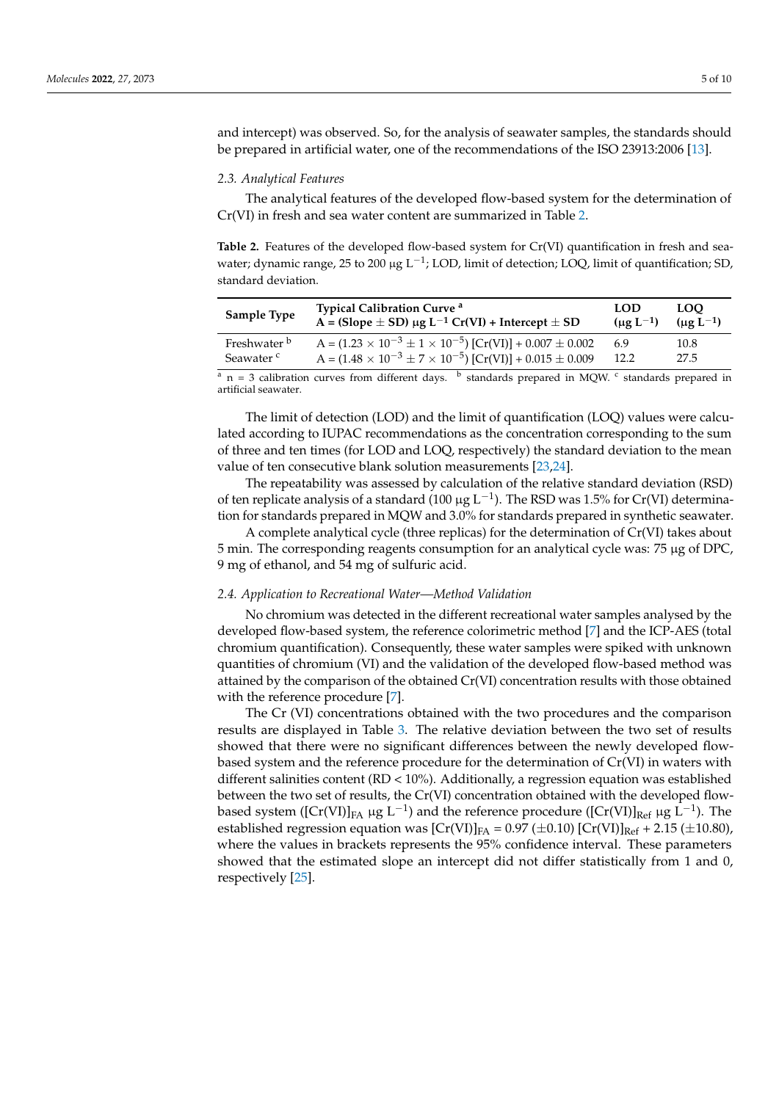and intercept) was observed. So, for the analysis of seawater samples, the standards should be prepared in artificial water, one of the recommendations of the ISO 23913:2006 [\[13\]](#page-9-6).

#### *2.3. Analytical Features*

The analytical features of the developed flow-based system for the determination of Cr(VI) in fresh and sea water content are summarized in Table [2.](#page-4-0)

<span id="page-4-0"></span>**Table 2.** Features of the developed flow-based system for Cr(VI) quantification in fresh and seawater; dynamic range, 25 to 200 µg L<sup>-1</sup>; LOD, limit of detection; LOQ, limit of quantification; SD, standard deviation.

| <b>Sample Type</b>      | <b>Typical Calibration Curve</b> <sup>a</sup>                                 | <b>LOD</b>                 | <b>LOO</b>       |
|-------------------------|-------------------------------------------------------------------------------|----------------------------|------------------|
|                         | $A = (Slope \pm SD) \mu g L^{-1} Cr(VI) + Intercept \pm SD$                   | $(\mu$ g L <sup>-1</sup> ) | $(\mu g L^{-1})$ |
| Freshwater <sup>b</sup> | $A = (1.23 \times 10^{-3} \pm 1 \times 10^{-5})$ [Cr(VI)] + 0.007 $\pm$ 0.002 | 6.9                        | 10.8             |
| Seawater <sup>c</sup>   | $A = (1.48 \times 10^{-3} \pm 7 \times 10^{-5})$ [Cr(VI)] + 0.015 $\pm$ 0.009 | 12.2                       | 27.5             |
|                         |                                                                               |                            |                  |

<sup>a</sup> n = 3 calibration curves from different days. <sup>b</sup> standards prepared in MQW. <sup>c</sup> standards prepared in artificial seawater.

The limit of detection (LOD) and the limit of quantification (LOQ) values were calculated according to IUPAC recommendations as the concentration corresponding to the sum of three and ten times (for LOD and LOQ, respectively) the standard deviation to the mean value of ten consecutive blank solution measurements [\[23,](#page-9-7)[24\]](#page-9-8).

The repeatability was assessed by calculation of the relative standard deviation (RSD) of ten replicate analysis of a standard (100 µg L<sup>-1</sup>). The RSD was 1.5% for Cr(VI) determination for standards prepared in MQW and 3.0% for standards prepared in synthetic seawater.

A complete analytical cycle (three replicas) for the determination of Cr(VI) takes about 5 min. The corresponding reagents consumption for an analytical cycle was: 75 µg of DPC, 9 mg of ethanol, and 54 mg of sulfuric acid.

#### *2.4. Application to Recreational Water—Method Validation*

No chromium was detected in the different recreational water samples analysed by the developed flow-based system, the reference colorimetric method [\[7\]](#page-8-4) and the ICP-AES (total chromium quantification). Consequently, these water samples were spiked with unknown quantities of chromium (VI) and the validation of the developed flow-based method was attained by the comparison of the obtained Cr(VI) concentration results with those obtained with the reference procedure [\[7\]](#page-8-4).

The Cr (VI) concentrations obtained with the two procedures and the comparison results are displayed in Table [3.](#page-5-0) The relative deviation between the two set of results showed that there were no significant differences between the newly developed flowbased system and the reference procedure for the determination of Cr(VI) in waters with different salinities content (RD < 10%). Additionally, a regression equation was established between the two set of results, the Cr(VI) concentration obtained with the developed flowbased system ([Cr(VI)]<sub>FA</sub> µg L<sup>-1</sup>) and the reference procedure ([Cr(VI)]<sub>Ref</sub> µg L<sup>-1</sup>). The established regression equation was  $\left[Cr(VI)\right]_{FA} = 0.97 \left(\pm 0.10\right) \left[Cr(VI)\right]_{Ref} + 2.15 \left(\pm 10.80\right),$ where the values in brackets represents the 95% confidence interval. These parameters showed that the estimated slope an intercept did not differ statistically from 1 and 0, respectively [\[25\]](#page-9-9).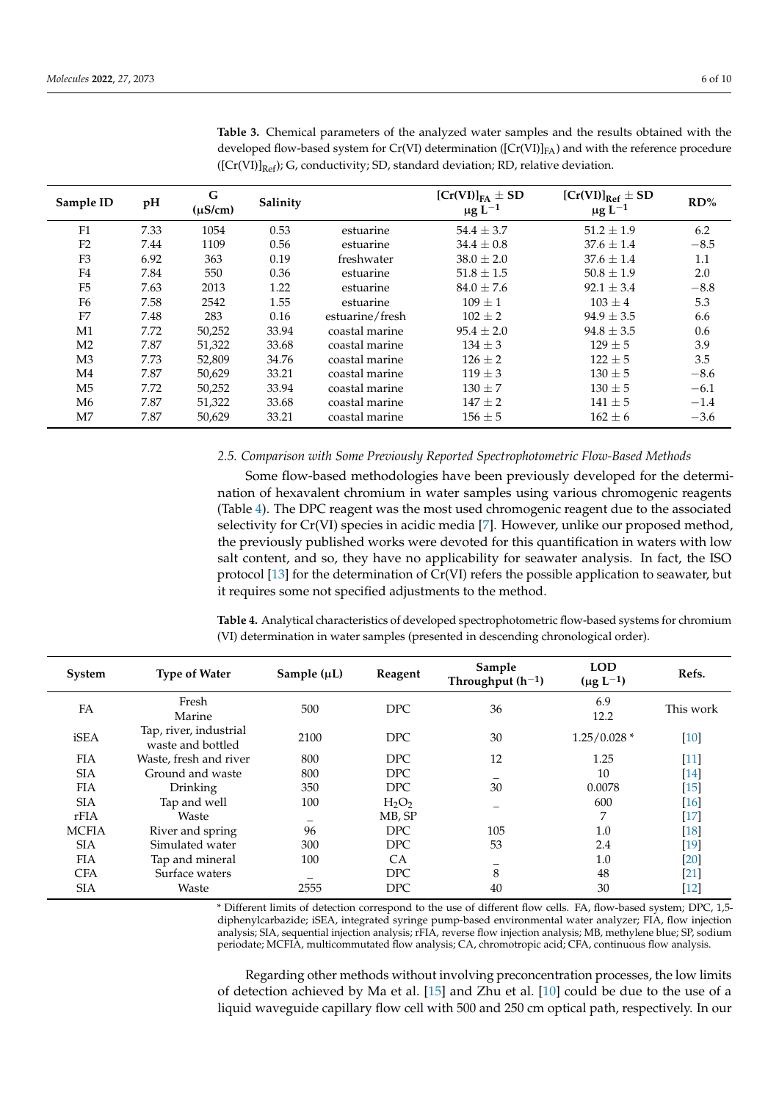| Sample ID      | pH   | G<br>$(\mu S/cm)$ | Salinity |                 | $[Cr(VI)]_{FA} \pm SD$<br>$\mu$ g L <sup>-1</sup> | $[Cr(VI)]Ref \pm SD$<br>$\mu$ g L <sup>-1</sup> | RD%    |
|----------------|------|-------------------|----------|-----------------|---------------------------------------------------|-------------------------------------------------|--------|
| F1             | 7.33 | 1054              | 0.53     | estuarine       | $54.4 \pm 3.7$                                    | $51.2 \pm 1.9$                                  | 6.2    |
| F <sub>2</sub> | 7.44 | 1109              | 0.56     | estuarine       | $34.4 \pm 0.8$                                    | $37.6 \pm 1.4$                                  | $-8.5$ |
| F <sub>3</sub> | 6.92 | 363               | 0.19     | freshwater      | $38.0 \pm 2.0$                                    | $37.6 \pm 1.4$                                  | 1.1    |
| F4             | 7.84 | 550               | 0.36     | estuarine       | $51.8 \pm 1.5$                                    | $50.8 \pm 1.9$                                  | 2.0    |
| F <sub>5</sub> | 7.63 | 2013              | 1.22     | estuarine       | $84.0 \pm 7.6$                                    | $92.1 \pm 3.4$                                  | $-8.8$ |
| F <sub>6</sub> | 7.58 | 2542              | 1.55     | estuarine       | $109 + 1$                                         | $103 + 4$                                       | 5.3    |
| F <sub>7</sub> | 7.48 | 283               | 0.16     | estuarine/fresh | $102 \pm 2$                                       | $94.9 + 3.5$                                    | 6.6    |
| M1             | 7.72 | 50,252            | 33.94    | coastal marine  | $95.4 \pm 2.0$                                    | $94.8 \pm 3.5$                                  | 0.6    |
| M <sub>2</sub> | 7.87 | 51,322            | 33.68    | coastal marine  | $134 \pm 3$                                       | $129 + 5$                                       | 3.9    |
| M <sub>3</sub> | 7.73 | 52,809            | 34.76    | coastal marine  | $126 \pm 2$                                       | $122 + 5$                                       | 3.5    |
| M4             | 7.87 | 50,629            | 33.21    | coastal marine  | $119 \pm 3$                                       | $130 \pm 5$                                     | $-8.6$ |
| M <sub>5</sub> | 7.72 | 50,252            | 33.94    | coastal marine  | $130 \pm 7$                                       | $130 \pm 5$                                     | $-6.1$ |
| M <sub>6</sub> | 7.87 | 51,322            | 33.68    | coastal marine  | $147 \pm 2$                                       | $141 \pm 5$                                     | $-1.4$ |
| M7             | 7.87 | 50,629            | 33.21    | coastal marine  | $156 \pm 5$                                       | $162 \pm 6$                                     | $-3.6$ |

<span id="page-5-0"></span>**Table 3.** Chemical parameters of the analyzed water samples and the results obtained with the developed flow-based system for Cr(VI) determination ( $[Cr(VI)]_{FA}$ ) and with the reference procedure  $([Cr(VI)]_{Ref}$ ); G, conductivity; SD, standard deviation; RD, relative deviation.

#### *2.5. Comparison with Some Previously Reported Spectrophotometric Flow-Based Methods*

Some flow-based methodologies have been previously developed for the determination of hexavalent chromium in water samples using various chromogenic reagents (Table [4\)](#page-5-1). The DPC reagent was the most used chromogenic reagent due to the associated selectivity for Cr(VI) species in acidic media [\[7\]](#page-8-4). However, unlike our proposed method, the previously published works were devoted for this quantification in waters with low salt content, and so, they have no applicability for seawater analysis. In fact, the ISO protocol [\[13\]](#page-9-6) for the determination of Cr(VI) refers the possible application to seawater, but it requires some not specified adjustments to the method.

<span id="page-5-1"></span>**Table 4.** Analytical characteristics of developed spectrophotometric flow-based systems for chromium (VI) determination in water samples (presented in descending chronological order).

| System       | <b>Type of Water</b>                        | Sample $(\mu L)$ | Reagent    | Sample<br>Throughput $(h^{-1})$ | <b>LOD</b><br>$(\mu g L^{-1})$ | Refs.                |
|--------------|---------------------------------------------|------------------|------------|---------------------------------|--------------------------------|----------------------|
| FA           | Fresh<br>Marine                             | 500              | DPC.       | 36                              | 6.9<br>12.2                    | This work            |
| iSEA         | Tap, river, industrial<br>waste and bottled | 2100             | <b>DPC</b> | 30                              | $1.25/0.028*$                  | $[10]$               |
| <b>FIA</b>   | Waste, fresh and river                      | 800              | <b>DPC</b> | 12                              | 1.25                           | $[11]$               |
| <b>SIA</b>   | Ground and waste                            | 800              | <b>DPC</b> |                                 | 10                             | [14]                 |
| <b>FIA</b>   | Drinking                                    | 350              | <b>DPC</b> | 30                              | 0.0078                         | $[15]$               |
| <b>SIA</b>   | Tap and well                                | 100              | $H_2O_2$   |                                 | 600                            | [16]                 |
| rFIA         | Waste                                       |                  | MB, SP     |                                 | 7                              | $[17] \label{eq:17}$ |
| <b>MCFIA</b> | River and spring                            | 96               | DPC.       | 105                             | 1.0                            | [18]                 |
| <b>SIA</b>   | Simulated water                             | 300              | <b>DPC</b> | 53                              | 2.4                            | $[19]$               |
| <b>FIA</b>   | Tap and mineral                             | 100              | <b>CA</b>  |                                 | 1.0                            | [20]                 |
| <b>CFA</b>   | Surface waters                              |                  | <b>DPC</b> | 8                               | 48                             | [21]                 |
| <b>SIA</b>   | Waste                                       | 2555             | <b>DPC</b> | 40                              | 30                             | [12]                 |

\* Different limits of detection correspond to the use of different flow cells. FA, flow-based system; DPC, 1,5 diphenylcarbazide; iSEA, integrated syringe pump-based environmental water analyzer; FIA, flow injection analysis; SIA, sequential injection analysis; rFIA, reverse flow injection analysis; MB, methylene blue; SP, sodium periodate; MCFIA, multicommutated flow analysis; CA, chromotropic acid; CFA, continuous flow analysis.

Regarding other methods without involving preconcentration processes, the low limits of detection achieved by Ma et al. [\[15\]](#page-9-11) and Zhu et al. [\[10\]](#page-9-1) could be due to the use of a liquid waveguide capillary flow cell with 500 and 250 cm optical path, respectively. In our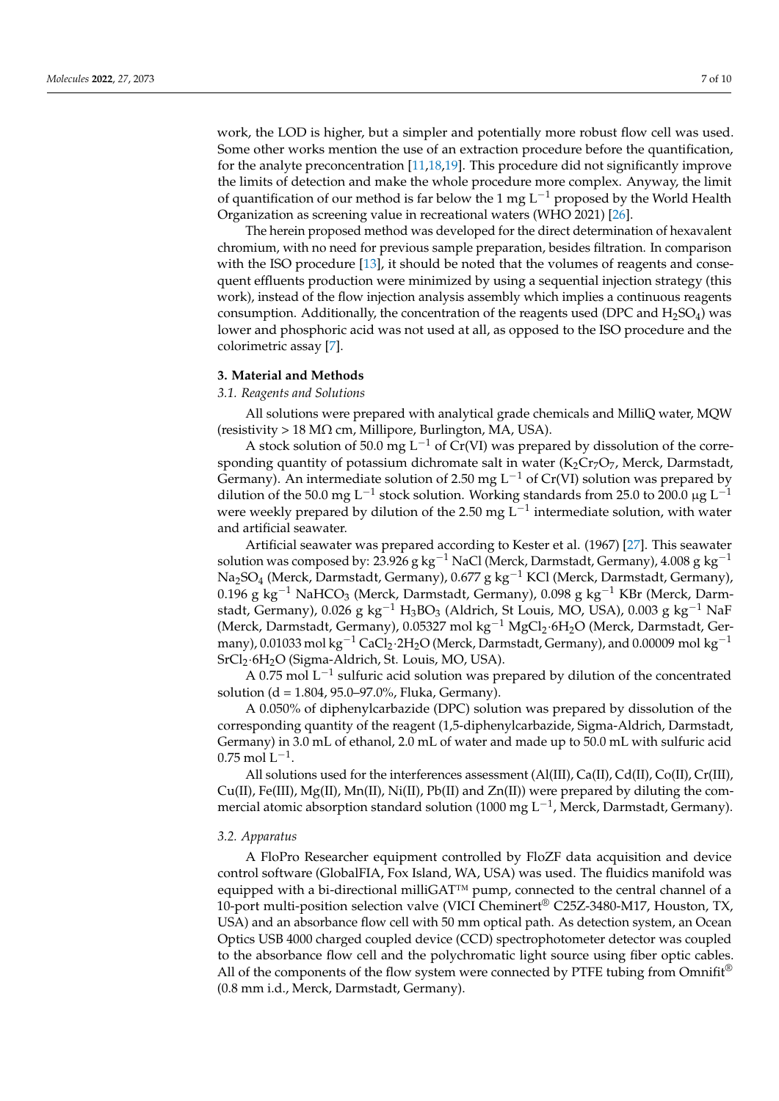work, the LOD is higher, but a simpler and potentially more robust flow cell was used. Some other works mention the use of an extraction procedure before the quantification, for the analyte preconcentration [\[11,](#page-9-10)[18,](#page-9-14)[19\]](#page-9-15). This procedure did not significantly improve the limits of detection and make the whole procedure more complex. Anyway, the limit of quantification of our method is far below the 1 mg L<sup>-1</sup> proposed by the World Health Organization as screening value in recreational waters (WHO 2021) [\[26\]](#page-9-17).

The herein proposed method was developed for the direct determination of hexavalent chromium, with no need for previous sample preparation, besides filtration. In comparison with the ISO procedure [\[13\]](#page-9-6), it should be noted that the volumes of reagents and consequent effluents production were minimized by using a sequential injection strategy (this work), instead of the flow injection analysis assembly which implies a continuous reagents consumption. Additionally, the concentration of the reagents used (DPC and  $H_2SO_4$ ) was lower and phosphoric acid was not used at all, as opposed to the ISO procedure and the colorimetric assay [\[7\]](#page-8-4).

#### **3. Material and Methods**

#### *3.1. Reagents and Solutions*

All solutions were prepared with analytical grade chemicals and MilliQ water, MQW (resistivity > 18 M $\Omega$  cm, Millipore, Burlington, MA, USA).

A stock solution of 50.0 mg L<sup>-1</sup> of Cr(VI) was prepared by dissolution of the corresponding quantity of potassium dichromate salt in water  $(K_2Cr_7O_7)$ , Merck, Darmstadt, Germany). An intermediate solution of 2.50 mg  $L^{-1}$  of Cr(VI) solution was prepared by dilution of the 50.0 mg L<sup>-1</sup> stock solution. Working standards from 25.0 to 200.0 µg L<sup>-1</sup> were weekly prepared by dilution of the 2.50 mg L<sup>-1</sup> intermediate solution, with water and artificial seawater.

Artificial seawater was prepared according to Kester et al. (1967) [\[27\]](#page-9-18). This seawater solution was composed by: 23.926 g kg<sup>-1</sup> NaCl (Merck, Darmstadt, Germany), 4.008 g kg<sup>-1</sup> Na<sub>2</sub>SO<sub>4</sub> (Merck, Darmstadt, Germany), 0.677 g kg<sup>-1</sup> KCl (Merck, Darmstadt, Germany), 0.196 g kg<sup>-1</sup> NaHCO<sub>3</sub> (Merck, Darmstadt, Germany), 0.098 g kg<sup>-1</sup> KBr (Merck, Darmstadt, Germany), 0.026 g kg<sup>-1</sup> H<sub>3</sub>BO<sub>3</sub> (Aldrich, St Louis, MO, USA), 0.003 g kg<sup>-1</sup> NaF (Merck, Darmstadt, Germany), 0.05327 mol kg−<sup>1</sup> MgCl2·6H2O (Merck, Darmstadt, Germany), 0.01033 mol kg<sup>-1</sup> CaCl<sub>2</sub>·2H<sub>2</sub>O (Merck, Darmstadt, Germany), and 0.00009 mol kg<sup>-1</sup> SrCl<sub>2</sub>·6H<sub>2</sub>O (Sigma-Aldrich, St. Louis, MO, USA).

A 0.75 mol L<sup>-1</sup> sulfuric acid solution was prepared by dilution of the concentrated solution (d = 1.804, 95.0–97.0%, Fluka, Germany).

A 0.050% of diphenylcarbazide (DPC) solution was prepared by dissolution of the corresponding quantity of the reagent (1,5-diphenylcarbazide, Sigma-Aldrich, Darmstadt, Germany) in 3.0 mL of ethanol, 2.0 mL of water and made up to 50.0 mL with sulfuric acid  $0.75 \text{ mol L}^{-1}$ .

All solutions used for the interferences assessment (Al(III), Ca(II), Cd(II), Co(II), Cr(III),  $Cu(II)$ , Fe(III), Mg(II), Mn(II), Ni(II), Pb(II) and Zn(II)) were prepared by diluting the commercial atomic absorption standard solution (1000 mg L<sup>-1</sup>, Merck, Darmstadt, Germany).

#### *3.2. Apparatus*

A FloPro Researcher equipment controlled by FloZF data acquisition and device control software (GlobalFIA, Fox Island, WA, USA) was used. The fluidics manifold was equipped with a bi-directional milliGAT™ pump, connected to the central channel of a 10-port multi-position selection valve (VICI Cheminert® C25Z-3480-M17, Houston, TX, USA) and an absorbance flow cell with 50 mm optical path. As detection system, an Ocean Optics USB 4000 charged coupled device (CCD) spectrophotometer detector was coupled to the absorbance flow cell and the polychromatic light source using fiber optic cables. All of the components of the flow system were connected by PTFE tubing from Omnifit<sup>®</sup> (0.8 mm i.d., Merck, Darmstadt, Germany).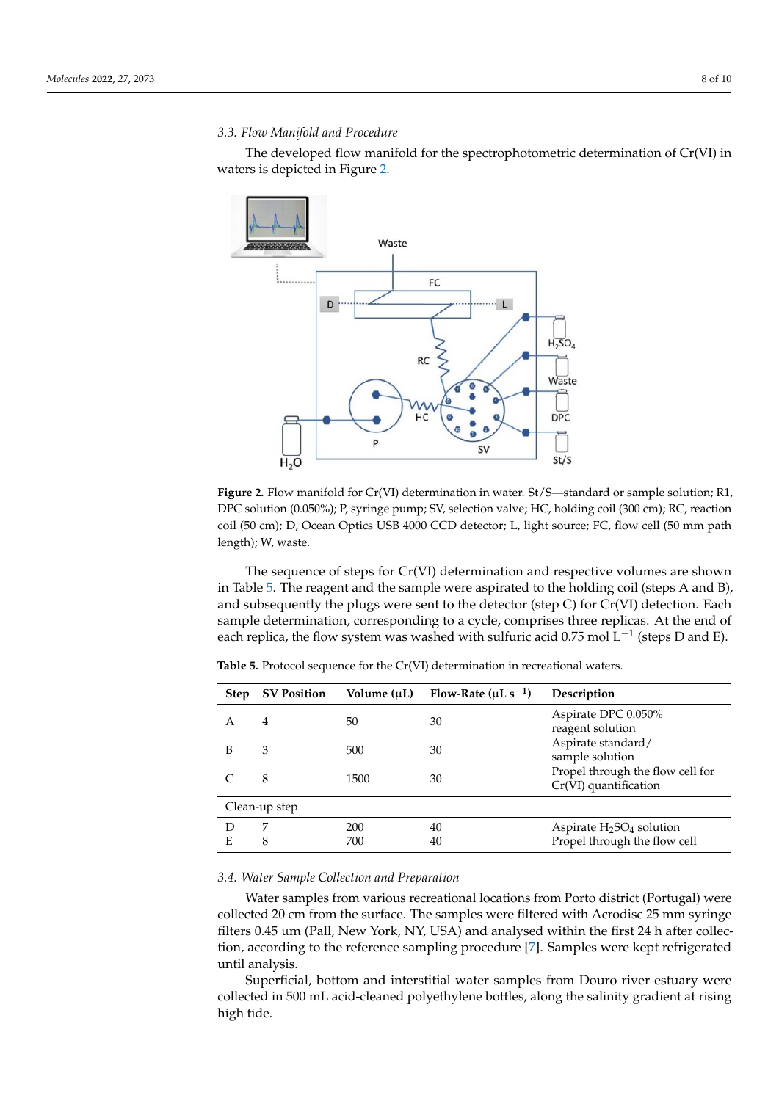## *3.3. Flow Manifold and Procedure* sample determination, corresponding to a cycle, comprises three replicas. At the end of

The developed flow manifold for the spectrophotometric determination of Cr(VI) in<br>hters is depicted in Figure 2 waters is depicted in Figure [2.](#page-7-0)

<span id="page-7-0"></span>

**Figure 2.** Flow manifold for Cr(VI) determination in water. St/S—standard or sample solution; R1, DPC solution (0.050%); P, syringe pump; SV, selection valve; HC, holding coil (300 cm); RC, reaction coil (50 cm); D, Ocean Optics USB 4000 CCD detector; L, light source; FC, flow cell (50 mm path  $\text{sgth}$ ); W, waste. **Figure 2.** Flow manifold for Cr(VI) determination in water. St/S—standard or sample solution; R1, length); W, waste.

The sequence of steps for Cr(VI) determination and respective volumes are shown and subsequently the plugs were sent to the detector (step C) for Cr(VI) detection. Each each replica, the flow system was washed with sulfuric acid 0.75 mol L<sup>−1</sup> (steps D and E). in Table [5.](#page-7-1) The reagent and the sample were aspirated to the holding coil (steps A and B), sample determination, corresponding to a cycle, comprises three replicas. At the end of

| <b>Step</b> | <b>SV Position</b> | Volume (µL) | Flow-Rate ( $\mu$ L s <sup>-1</sup> ) | Description                                               |
|-------------|--------------------|-------------|---------------------------------------|-----------------------------------------------------------|
| $\forall$   | 4                  | 50          | 30                                    | Aspirate DPC 0.050%<br>reagent solution                   |
| B           | 3                  | 500         | 30                                    | Aspirate standard/<br>sample solution                     |
|             | 8                  | 1500        | 30                                    | Propel through the flow cell for<br>Cr(VI) quantification |
|             | Clean-up step      |             |                                       |                                                           |
|             | ⇁                  | 200         | 40                                    | Aspirate $H_2SO_4$ solution                               |
| E           | 8                  | 700         | 40                                    | Propel through the flow cell                              |

<span id="page-7-1"></span>**Table 5.** Protocol sequence for the Cr(VI) determination in recreational waters.

# *3.4. Water Sample Collection and Preparation 3.4. Water Sample Collection and Preparation*

Water samples from various recreational locations from Porto district (Portugal) Water samples from various recreational locations from Porto district (Portugal) were collected 20 cm from the surface. The samples were filtered with Acrodisc 25 mm syringe<br>filters 0.45 um (Pall, Now York, NY, USA) and analysed within the first 24 h after collection tion, according to the reference sampling procedure [7]. Samples were kept refrigerated filters 0.45  $\mu$ m (Pall, New York, NY, USA) and analysed within the first 24 h after collecuntil analysis.

itil analysis.<br>Superficial, bottom and interstitial water samples from Douro river estuary were ated until analysis. collected in 500 mL acid-cleaned polyethylene bottles, along the salinity gradient at rising  $S_{\rm{max}}$  superficial, both and interstitial water samples from Douro river estuary were colhigh tide.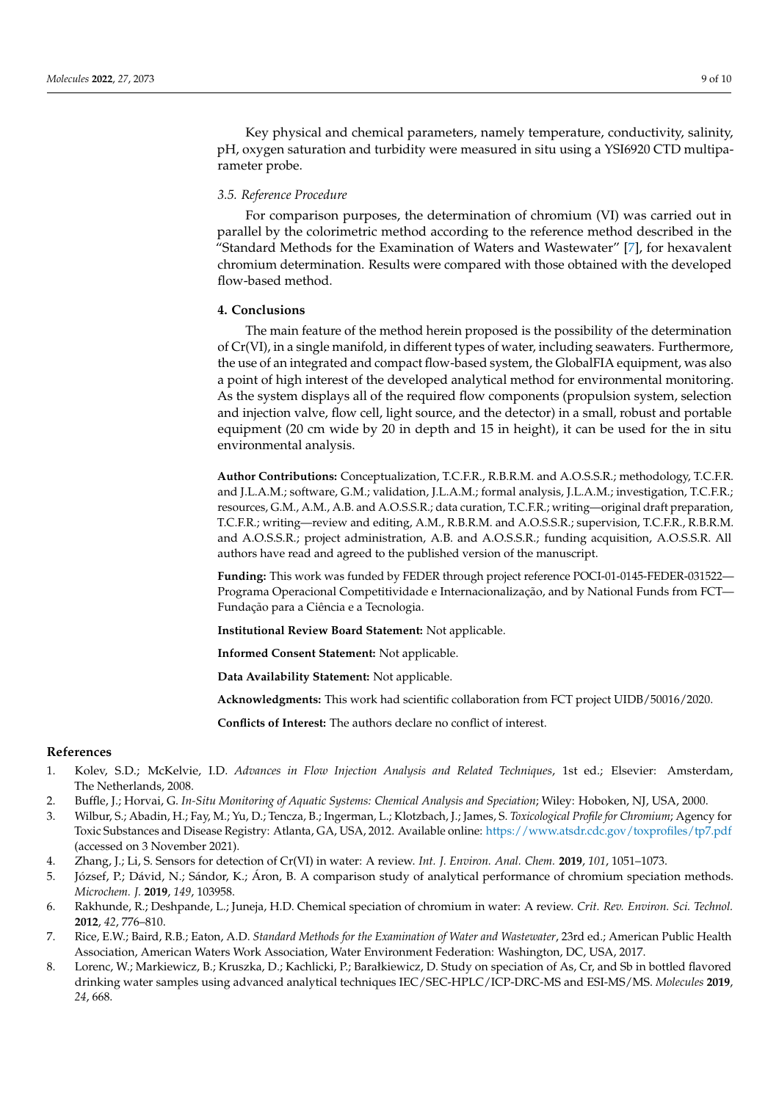Key physical and chemical parameters, namely temperature, conductivity, salinity, pH, oxygen saturation and turbidity were measured in situ using a YSI6920 CTD multiparameter probe.

#### *3.5. Reference Procedure*

For comparison purposes, the determination of chromium (VI) was carried out in parallel by the colorimetric method according to the reference method described in the "Standard Methods for the Examination of Waters and Wastewater" [\[7\]](#page-8-4), for hexavalent chromium determination. Results were compared with those obtained with the developed flow-based method.

#### **4. Conclusions**

The main feature of the method herein proposed is the possibility of the determination of Cr(VI), in a single manifold, in different types of water, including seawaters. Furthermore, the use of an integrated and compact flow-based system, the GlobalFIA equipment, was also a point of high interest of the developed analytical method for environmental monitoring. As the system displays all of the required flow components (propulsion system, selection and injection valve, flow cell, light source, and the detector) in a small, robust and portable equipment (20 cm wide by 20 in depth and 15 in height), it can be used for the in situ environmental analysis.

**Author Contributions:** Conceptualization, T.C.F.R., R.B.R.M. and A.O.S.S.R.; methodology, T.C.F.R. and J.L.A.M.; software, G.M.; validation, J.L.A.M.; formal analysis, J.L.A.M.; investigation, T.C.F.R.; resources, G.M., A.M., A.B. and A.O.S.S.R.; data curation, T.C.F.R.; writing—original draft preparation, T.C.F.R.; writing—review and editing, A.M., R.B.R.M. and A.O.S.S.R.; supervision, T.C.F.R., R.B.R.M. and A.O.S.S.R.; project administration, A.B. and A.O.S.S.R.; funding acquisition, A.O.S.S.R. All authors have read and agreed to the published version of the manuscript.

**Funding:** This work was funded by FEDER through project reference POCI-01-0145-FEDER-031522— Programa Operacional Competitividade e Internacionalização, and by National Funds from FCT— Fundação para a Ciência e a Tecnologia.

**Institutional Review Board Statement:** Not applicable.

**Informed Consent Statement:** Not applicable.

**Data Availability Statement:** Not applicable.

**Acknowledgments:** This work had scientific collaboration from FCT project UIDB/50016/2020.

**Conflicts of Interest:** The authors declare no conflict of interest.

#### **References**

- <span id="page-8-0"></span>1. Kolev, S.D.; McKelvie, I.D. *Advances in Flow Injection Analysis and Related Techniques*, 1st ed.; Elsevier: Amsterdam, The Netherlands, 2008.
- <span id="page-8-1"></span>2. Buffle, J.; Horvai, G. *In-Situ Monitoring of Aquatic Systems: Chemical Analysis and Speciation*; Wiley: Hoboken, NJ, USA, 2000.
- <span id="page-8-2"></span>3. Wilbur, S.; Abadin, H.; Fay, M.; Yu, D.; Tencza, B.; Ingerman, L.; Klotzbach, J.; James, S. *Toxicological Profile for Chromium*; Agency for Toxic Substances and Disease Registry: Atlanta, GA, USA, 2012. Available online: <https://www.atsdr.cdc.gov/toxprofiles/tp7.pdf> (accessed on 3 November 2021).
- 4. Zhang, J.; Li, S. Sensors for detection of Cr(VI) in water: A review. *Int. J. Environ. Anal. Chem.* **2019**, *101*, 1051–1073.
- 5. József, P.; Dávid, N.; Sándor, K.; Áron, B. A comparison study of analytical performance of chromium speciation methods. *Microchem. J.* **2019**, *149*, 103958.
- <span id="page-8-3"></span>6. Rakhunde, R.; Deshpande, L.; Juneja, H.D. Chemical speciation of chromium in water: A review. *Crit. Rev. Environ. Sci. Technol.* **2012**, *42*, 776–810.
- <span id="page-8-4"></span>7. Rice, E.W.; Baird, R.B.; Eaton, A.D. *Standard Methods for the Examination of Water and Wastewater*, 23rd ed.; American Public Health Association, American Waters Work Association, Water Environment Federation: Washington, DC, USA, 2017.
- 8. Lorenc, W.; Markiewicz, B.; Kruszka, D.; Kachlicki, P.; Barałkiewicz, D. Study on speciation of As, Cr, and Sb in bottled flavored drinking water samples using advanced analytical techniques IEC/SEC-HPLC/ICP-DRC-MS and ESI-MS/MS. *Molecules* **2019**, *24*, 668.